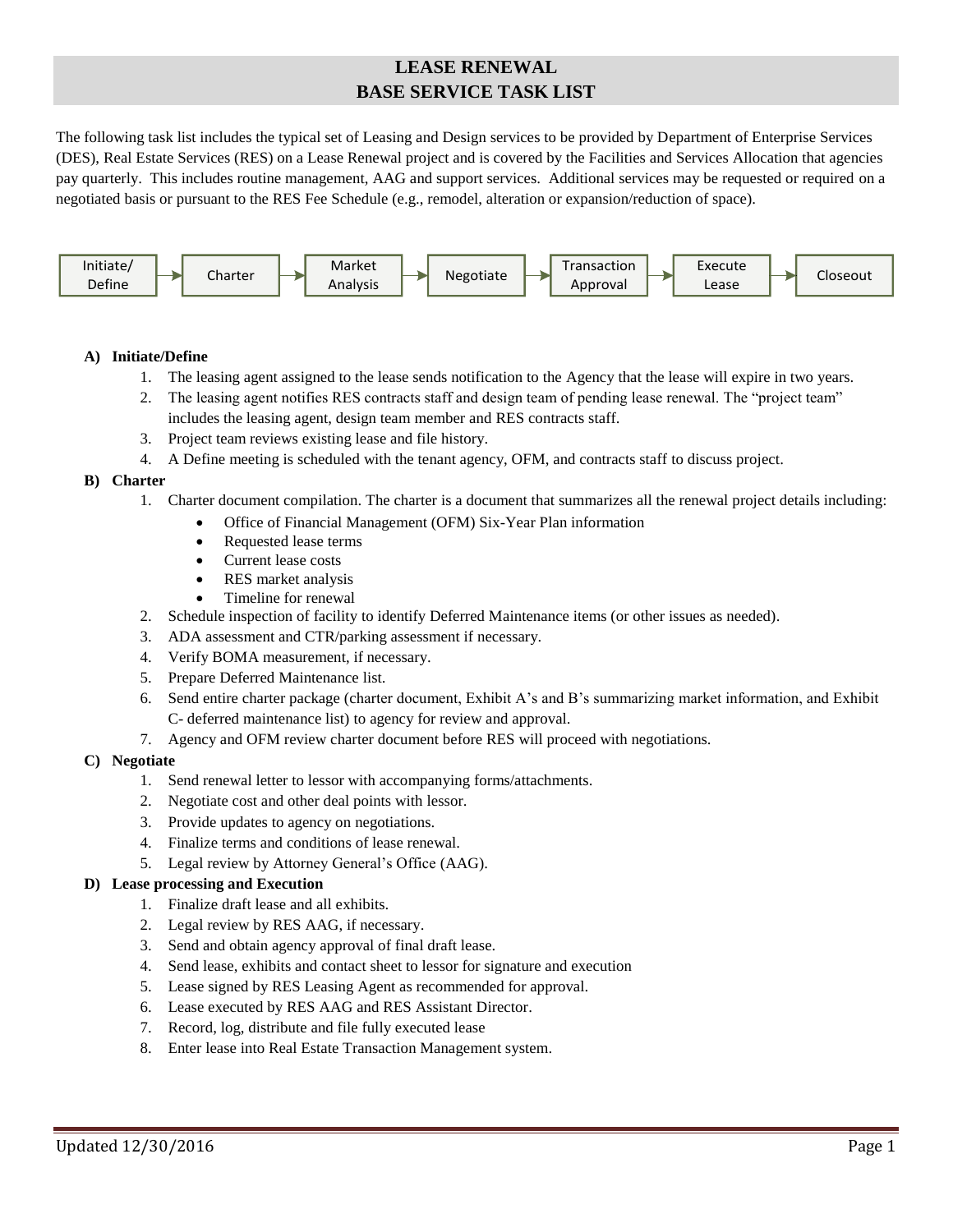# **LEASE RENEWAL BASE SERVICE TASK LIST**

The following task list includes the typical set of Leasing and Design services to be provided by Department of Enterprise Services (DES), Real Estate Services (RES) on a Lease Renewal project and is covered by the Facilities and Services Allocation that agencies pay quarterly. This includes routine management, AAG and support services. Additional services may be requested or required on a negotiated basis or pursuant to the RES Fee Schedule (e.g., remodel, alteration or expansion/reduction of space).



# **A) Initiate/Define**

- 1. The leasing agent assigned to the lease sends notification to the Agency that the lease will expire in two years.
- 2. The leasing agent notifies RES contracts staff and design team of pending lease renewal. The "project team" includes the leasing agent, design team member and RES contracts staff.
- 3. Project team reviews existing lease and file history.
- 4. A Define meeting is scheduled with the tenant agency, OFM, and contracts staff to discuss project.

# **B) Charter**

- 1. Charter document compilation. The charter is a document that summarizes all the renewal project details including:
	- Office of Financial Management (OFM) Six-Year Plan information
	- Requested lease terms
	- Current lease costs
	- RES market analysis
	- Timeline for renewal
- 2. Schedule inspection of facility to identify Deferred Maintenance items (or other issues as needed).
- 3. ADA assessment and CTR/parking assessment if necessary.
- 4. Verify BOMA measurement, if necessary.
- 5. Prepare Deferred Maintenance list.
- 6. Send entire charter package (charter document, Exhibit A's and B's summarizing market information, and Exhibit C- deferred maintenance list) to agency for review and approval.
- 7. Agency and OFM review charter document before RES will proceed with negotiations.

#### **C) Negotiate**

- 1. Send renewal letter to lessor with accompanying forms/attachments.
- 2. Negotiate cost and other deal points with lessor.
- 3. Provide updates to agency on negotiations.
- 4. Finalize terms and conditions of lease renewal.
- 5. Legal review by Attorney General's Office (AAG).

#### **D) Lease processing and Execution**

- 1. Finalize draft lease and all exhibits.
- 2. Legal review by RES AAG, if necessary.
- 3. Send and obtain agency approval of final draft lease.
- 4. Send lease, exhibits and contact sheet to lessor for signature and execution
- 5. Lease signed by RES Leasing Agent as recommended for approval.
- 6. Lease executed by RES AAG and RES Assistant Director.
- 7. Record, log, distribute and file fully executed lease
- 8. Enter lease into Real Estate Transaction Management system.